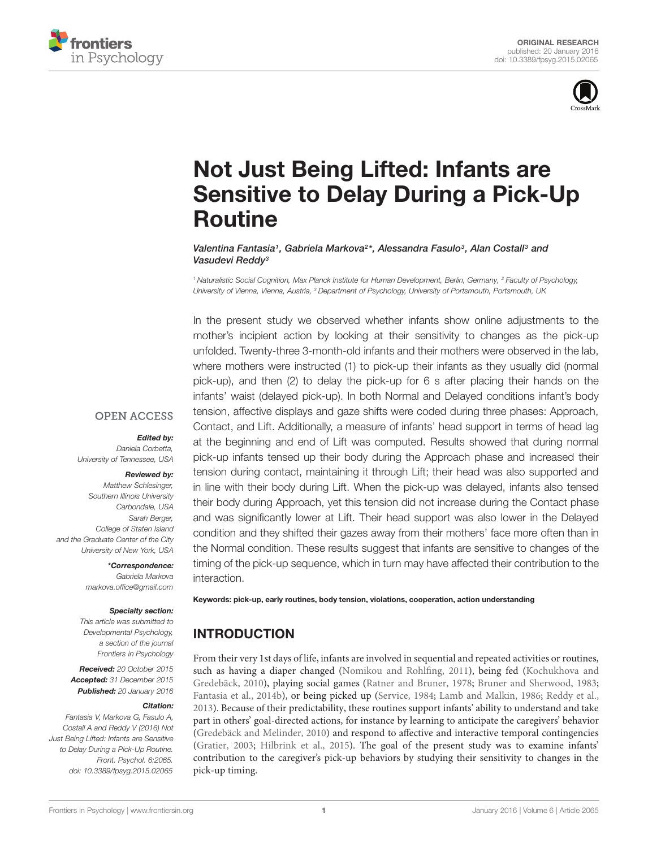



# Not Just Being Lifted: Infants are [Sensitive to Delay During a Pick-Up](http://journal.frontiersin.org/article/10.3389/fpsyg.2015.02065/abstract) Routine

*[Valentina Fantasia1](http://loop.frontiersin.org/people/132495/overview), [Gabriela Markova2](http://loop.frontiersin.org/people/164946/overview)\*, [Alessandra Fasulo3](http://loop.frontiersin.org/people/141853/overview), Alan Costall3 and [Vasudevi Reddy3](http://loop.frontiersin.org/people/160302/overview)*

*<sup>1</sup> Naturalistic Social Cognition, Max Planck Institute for Human Development, Berlin, Germany, <sup>2</sup> Faculty of Psychology, University of Vienna, Vienna, Austria, <sup>3</sup> Department of Psychology, University of Portsmouth, Portsmouth, UK*

In the present study we observed whether infants show online adjustments to the mother's incipient action by looking at their sensitivity to changes as the pick-up unfolded. Twenty-three 3-month-old infants and their mothers were observed in the lab, where mothers were instructed (1) to pick-up their infants as they usually did (normal pick-up), and then (2) to delay the pick-up for 6 s after placing their hands on the infants' waist (delayed pick-up). In both Normal and Delayed conditions infant's body tension, affective displays and gaze shifts were coded during three phases: Approach, Contact, and Lift. Additionally, a measure of infants' head support in terms of head lag at the beginning and end of Lift was computed. Results showed that during normal pick-up infants tensed up their body during the Approach phase and increased their tension during contact, maintaining it through Lift; their head was also supported and in line with their body during Lift. When the pick-up was delayed, infants also tensed their body during Approach, yet this tension did not increase during the Contact phase and was significantly lower at Lift. Their head support was also lower in the Delayed condition and they shifted their gazes away from their mothers' face more often than in the Normal condition. These results suggest that infants are sensitive to changes of the timing of the pick-up sequence, which in turn may have affected their contribution to the interaction.

# **OPEN ACCESS**

#### *Edited by:*

*Daniela Corbetta, University of Tennessee, USA*

#### *Reviewed by:*

*Matthew Schlesinger, Southern Illinois University Carbondale, USA Sarah Berger, College of Staten Island and the Graduate Center of the City University of New York, USA*

*\*Correspondence:*

*Gabriela Markova markova.office@gmail.com*

#### *Specialty section:*

*This article was submitted to Developmental Psychology, a section of the journal Frontiers in Psychology*

*Received: 20 October 2015 Accepted: 31 December 2015 Published: 20 January 2016*

#### *Citation:*

*Fantasia V, Markova G, Fasulo A, Costall A and Reddy V (2016) Not Just Being Lifted: Infants are Sensitive to Delay During a Pick-Up Routine. Front. Psychol. 6:2065. doi: [10.3389/fpsyg.2015.02065](http://dx.doi.org/10.3389/fpsyg.2015.02065)*

Keywords: pick-up, early routines, body tension, violations, cooperation, action understanding

# INTRODUCTION

From their very 1st days of life, infants are involved in sequential and repeated activities or routines, such as h[aving a diaper changed](#page-7-1) [\(Nomikou and Rohlfing](#page-7-0)[,](#page-7-1) [2011\)](#page-7-0)[, being fed \(](#page-7-1)Kochukhova and Gredebäck, [2010](#page-7-1)), playing social games [\(Ratner and Bruner](#page-7-2), [1978;](#page-7-2) [Bruner and Sherwood, 1983](#page-6-0); [Fantasia et al., 2014b\)](#page-7-3), or being picked up [\(Service, 1984;](#page-7-4) [Lamb and Malkin, 1986;](#page-7-5) [Reddy et al.](#page-7-6), [2013\)](#page-7-6). Because of their predictability, these routines support infants' ability to understand and take part in others' goal-directed actions, for instance by learning to anticipate the caregivers' behavior [\(Gredebäck and Melinder, 2010\)](#page-7-7) and respond to affective and interactive temporal contingencies [\(Gratier](#page-7-8), [2003;](#page-7-8) [Hilbrink et al.](#page-7-9), [2015](#page-7-9)). The goal of the present study was to examine infants' contribution to the caregiver's pick-up behaviors by studying their sensitivity to changes in the pick-up timing.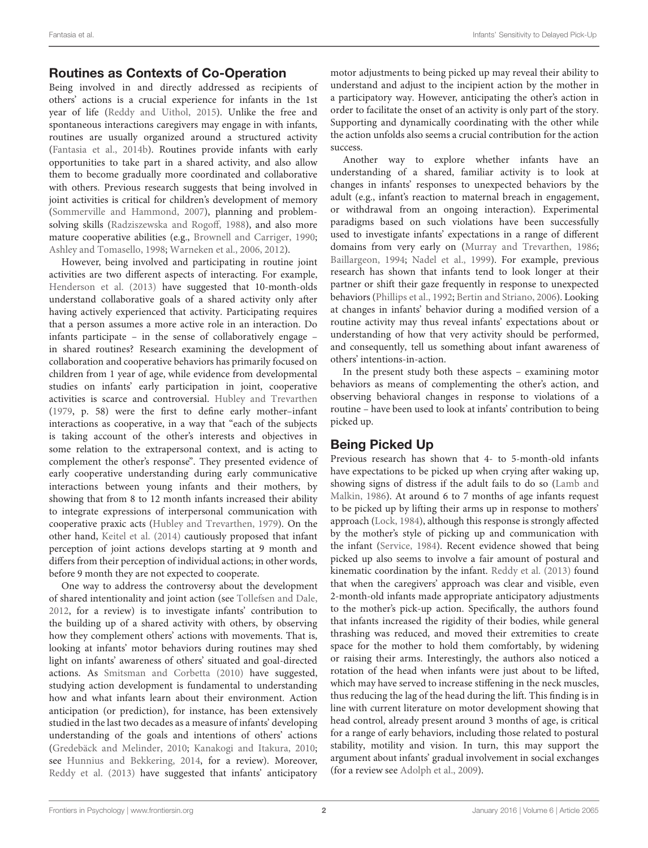# Routines as Contexts of Co-Operation

Being involved in and directly addressed as recipients of others' actions is a crucial experience for infants in the 1st year of life [\(Reddy and Uithol](#page-7-10), [2015\)](#page-7-10). Unlike the free and spontaneous interactions caregivers may engage in with infants, routines are usually organized around a structured activity [\(Fantasia et al., 2014b\)](#page-7-3). Routines provide infants with early opportunities to take part in a shared activity, and also allow them to become gradually more coordinated and collaborative with others. Previous research suggests that being involved in joint activities is critical for children's development of memory [\(Sommerville and Hammond, 2007\)](#page-7-11), planning and problemsolving skills [\(Radziszewska and Rogoff](#page-7-12), [1988\)](#page-7-12), and also more mature cooperative abilities (e.g., [Brownell and Carriger, 1990;](#page-6-1) [Ashley and Tomasello](#page-6-2), [1998;](#page-6-2) [Warneken et al.](#page-7-13), [2006,](#page-7-13) [2012](#page-7-14)).

However, being involved and participating in routine joint activities are two different aspects of interacting. For example, [Henderson et al.](#page-7-15) [\(2013](#page-7-15)) have suggested that 10-month-olds understand collaborative goals of a shared activity only after having actively experienced that activity. Participating requires that a person assumes a more active role in an interaction. Do infants participate – in the sense of collaboratively engage – in shared routines? Research examining the development of collaboration and cooperative behaviors has primarily focused on children from 1 year of age, while evidence from developmental studies on infants' early participation in joint, cooperative activities is scarce and controversial. [Hubley and Trevarthen](#page-7-16) [\(1979](#page-7-16), p. 58) were the first to define early mother–infant interactions as cooperative, in a way that "each of the subjects is taking account of the other's interests and objectives in some relation to the extrapersonal context, and is acting to complement the other's response". They presented evidence of early cooperative understanding during early communicative interactions between young infants and their mothers, by showing that from 8 to 12 month infants increased their ability to integrate expressions of interpersonal communication with cooperative praxic acts [\(Hubley and Trevarthen, 1979](#page-7-16)). On the other hand, [Keitel et al.](#page-7-17) [\(2014\)](#page-7-17) cautiously proposed that infant perception of joint actions develops starting at 9 month and differs from their perception of individual actions; in other words, before 9 month they are not expected to cooperate.

One way to address the controversy about the development of shared intentionality and joint action (see [Tollefsen and Dale,](#page-7-18) [2012](#page-7-18), for a review) is to investigate infants' contribution to the building up of a shared activity with others, by observing how they complement others' actions with movements. That is, looking at infants' motor behaviors during routines may shed light on infants' awareness of others' situated and goal-directed actions. As [Smitsman and Corbetta](#page-7-19) [\(2010](#page-7-19)) have suggested, studying action development is fundamental to understanding how and what infants learn about their environment. Action anticipation (or prediction), for instance, has been extensively studied in the last two decades as a measure of infants' developing understanding of the goals and intentions of others' actions [\(Gredebäck and Melinder](#page-7-7), [2010;](#page-7-7) [Kanakogi and Itakura](#page-7-20), [2010;](#page-7-20) see [Hunnius and Bekkering, 2014](#page-7-21), for a review). Moreover, [Reddy et al.](#page-7-6) [\(2013\)](#page-7-6) have suggested that infants' anticipatory

motor adjustments to being picked up may reveal their ability to understand and adjust to the incipient action by the mother in a participatory way. However, anticipating the other's action in order to facilitate the onset of an activity is only part of the story. Supporting and dynamically coordinating with the other while the action unfolds also seems a crucial contribution for the action success.

Another way to explore whether infants have an understanding of a shared, familiar activity is to look at changes in infants' responses to unexpected behaviors by the adult (e.g., infant's reaction to maternal breach in engagement, or withdrawal from an ongoing interaction). Experimental paradigms based on such violations have been successfully used to investigate infants' expectations in a range of different domains from very early on [\(Murray and Trevarthen](#page-7-22), [1986](#page-7-22); [Baillargeon](#page-6-3), [1994](#page-6-3); [Nadel et al., 1999\)](#page-7-23). For example, previous research has shown that infants tend to look longer at their partner or shift their gaze frequently in response to unexpected behaviors [\(Phillips et al.](#page-7-24), [1992;](#page-7-24) [Bertin and Striano](#page-6-4), [2006](#page-6-4)). Looking at changes in infants' behavior during a modified version of a routine activity may thus reveal infants' expectations about or understanding of how that very activity should be performed, and consequently, tell us something about infant awareness of others' intentions-in-action.

In the present study both these aspects – examining motor behaviors as means of complementing the other's action, and observing behavioral changes in response to violations of a routine – have been used to look at infants' contribution to being picked up.

# Being Picked Up

Previous research has shown that 4- to 5-month-old infants have expectations to be picked up when crying after waking up, showi[ng signs of distress if the adult fails to do so \(](#page-7-5)Lamb and Malkin, [1986\)](#page-7-5). At around 6 to 7 months of age infants request to be picked up by lifting their arms up in response to mothers' approach [\(Lock](#page-7-25), [1984](#page-7-25)), although this response is strongly affected by the mother's style of picking up and communication with the infant [\(Service, 1984](#page-7-4)). Recent evidence showed that being picked up also seems to involve a fair amount of postural and kinematic coordination by the infant. [Reddy et al.](#page-7-6) [\(2013](#page-7-6)) found that when the caregivers' approach was clear and visible, even 2-month-old infants made appropriate anticipatory adjustments to the mother's pick-up action. Specifically, the authors found that infants increased the rigidity of their bodies, while general thrashing was reduced, and moved their extremities to create space for the mother to hold them comfortably, by widening or raising their arms. Interestingly, the authors also noticed a rotation of the head when infants were just about to be lifted, which may have served to increase stiffening in the neck muscles, thus reducing the lag of the head during the lift. This finding is in line with current literature on motor development showing that head control, already present around 3 months of age, is critical for a range of early behaviors, including those related to postural stability, motility and vision. In turn, this may support the argument about infants' gradual involvement in social exchanges (for a review see [Adolph et al., 2009](#page-6-5)).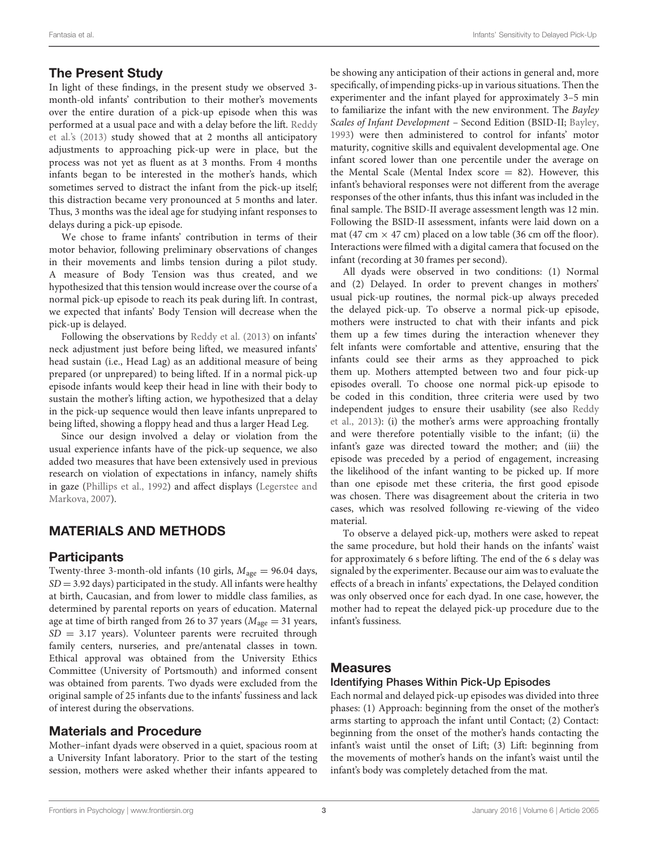#### The Present Study

In light of these findings, in the present study we observed 3 month-old infants' contribution to their mother's movements over the entire duration of a pick-up episode when this was perf[ormed at a usual pace and with a delay before the lift.](#page-7-6) Reddy et al.'s [\(2013](#page-7-6)) study showed that at 2 months all anticipatory adjustments to approaching pick-up were in place, but the process was not yet as fluent as at 3 months. From 4 months infants began to be interested in the mother's hands, which sometimes served to distract the infant from the pick-up itself; this distraction became very pronounced at 5 months and later. Thus, 3 months was the ideal age for studying infant responses to delays during a pick-up episode.

We chose to frame infants' contribution in terms of their motor behavior, following preliminary observations of changes in their movements and limbs tension during a pilot study. A measure of Body Tension was thus created, and we hypothesized that this tension would increase over the course of a normal pick-up episode to reach its peak during lift. In contrast, we expected that infants' Body Tension will decrease when the pick-up is delayed.

Following the observations by [Reddy et al.](#page-7-6) [\(2013\)](#page-7-6) on infants' neck adjustment just before being lifted, we measured infants' head sustain (i.e., Head Lag) as an additional measure of being prepared (or unprepared) to being lifted. If in a normal pick-up episode infants would keep their head in line with their body to sustain the mother's lifting action, we hypothesized that a delay in the pick-up sequence would then leave infants unprepared to being lifted, showing a floppy head and thus a larger Head Leg.

Since our design involved a delay or violation from the usual experience infants have of the pick-up sequence, we also added two measures that have been extensively used in previous research on violation of expectations in infancy, namely shifts in gaze [\(Phillips et al.](#page-7-24)[,](#page-7-26) [1992](#page-7-24)[\)](#page-7-26) [and](#page-7-26) [affect](#page-7-26) [displays](#page-7-26) [\(](#page-7-26)Legerstee and Markova, [2007\)](#page-7-26).

# MATERIALS AND METHODS

### **Participants**

Twenty-three 3-month-old infants (10 girls, *M*age = 96.04 days,  $SD = 3.92$  days) participated in the study. All infants were healthy at birth, Caucasian, and from lower to middle class families, as determined by parental reports on years of education. Maternal age at time of birth ranged from 26 to 37 years ( $M<sub>age</sub> = 31$  years, *SD* = 3.17 years). Volunteer parents were recruited through family centers, nurseries, and pre/antenatal classes in town. Ethical approval was obtained from the University Ethics Committee (University of Portsmouth) and informed consent was obtained from parents. Two dyads were excluded from the original sample of 25 infants due to the infants' fussiness and lack of interest during the observations.

### Materials and Procedure

Mother–infant dyads were observed in a quiet, spacious room at a University Infant laboratory. Prior to the start of the testing session, mothers were asked whether their infants appeared to be showing any anticipation of their actions in general and, more specifically, of impending picks-up in various situations. Then the experimenter and the infant played for approximately 3–5 min to familiarize the infant with the new environment. The *Bayley Scales of Infant Development* – Second Edition (BSID-II; [Bayley](#page-6-6), [1993\)](#page-6-6) were then administered to control for infants' motor maturity, cognitive skills and equivalent developmental age. One infant scored lower than one percentile under the average on the Mental Scale (Mental Index score  $= 82$ ). However, this infant's behavioral responses were not different from the average responses of the other infants, thus this infant was included in the final sample. The BSID-II average assessment length was 12 min. Following the BSID-II assessment, infants were laid down on a mat (47 cm  $\times$  47 cm) placed on a low table (36 cm off the floor). Interactions were filmed with a digital camera that focused on the infant (recording at 30 frames per second).

All dyads were observed in two conditions: (1) Normal and (2) Delayed. In order to prevent changes in mothers' usual pick-up routines, the normal pick-up always preceded the delayed pick-up. To observe a normal pick-up episode, mothers were instructed to chat with their infants and pick them up a few times during the interaction whenever they felt infants were comfortable and attentive, ensuring that the infants could see their arms as they approached to pick them up. Mothers attempted between two and four pick-up episodes overall. To choose one normal pick-up episode to be coded in this condition, three criteria were used by two inde[pendent](#page-7-6) [judges](#page-7-6) [to](#page-7-6) [ensure](#page-7-6) [their](#page-7-6) [usability](#page-7-6) [\(see](#page-7-6) [also](#page-7-6) Reddy et al., [2013](#page-7-6)): (i) the mother's arms were approaching frontally and were therefore potentially visible to the infant; (ii) the infant's gaze was directed toward the mother; and (iii) the episode was preceded by a period of engagement, increasing the likelihood of the infant wanting to be picked up. If more than one episode met these criteria, the first good episode was chosen. There was disagreement about the criteria in two cases, which was resolved following re-viewing of the video material.

To observe a delayed pick-up, mothers were asked to repeat the same procedure, but hold their hands on the infants' waist for approximately 6 s before lifting. The end of the 6 s delay was signaled by the experimenter. Because our aim was to evaluate the effects of a breach in infants' expectations, the Delayed condition was only observed once for each dyad. In one case, however, the mother had to repeat the delayed pick-up procedure due to the infant's fussiness.

#### **Measures**

#### Identifying Phases Within Pick-Up Episodes

Each normal and delayed pick-up episodes was divided into three phases: (1) Approach: beginning from the onset of the mother's arms starting to approach the infant until Contact; (2) Contact: beginning from the onset of the mother's hands contacting the infant's waist until the onset of Lift; (3) Lift: beginning from the movements of mother's hands on the infant's waist until the infant's body was completely detached from the mat.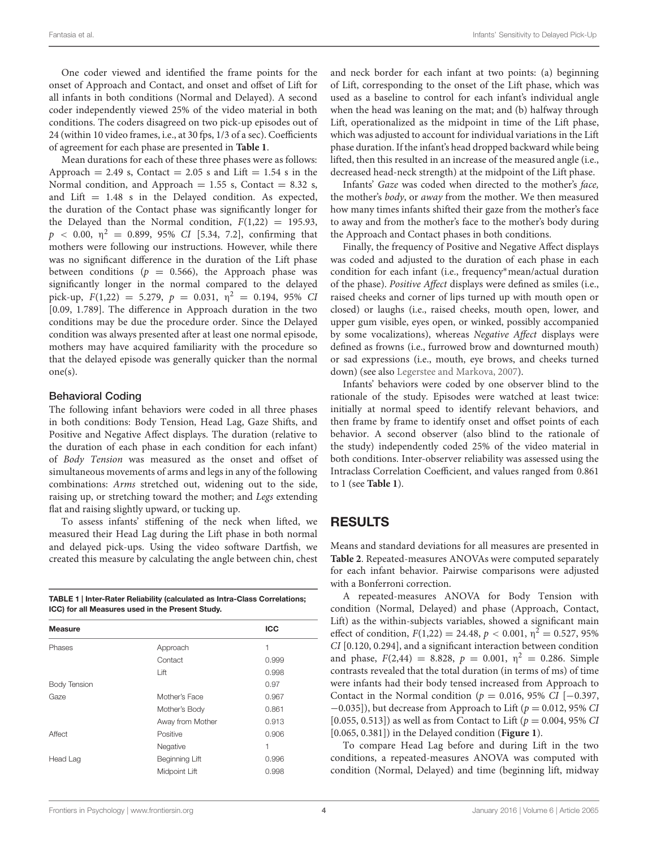One coder viewed and identified the frame points for the onset of Approach and Contact, and onset and offset of Lift for all infants in both conditions (Normal and Delayed). A second coder independently viewed 25% of the video material in both conditions. The coders disagreed on two pick-up episodes out of 24 (within 10 video frames, i.e., at 30 fps, 1/3 of a sec). Coefficients of agreement for each phase are presented in **[Table 1](#page-3-0)**.

Mean durations for each of these three phases were as follows: Approach = 2.49 s, Contact = 2.05 s and Lift = 1.54 s in the Normal condition, and Approach =  $1.55$  s, Contact =  $8.32$  s, and Lift  $= 1.48$  s in the Delayed condition. As expected, the duration of the Contact phase was significantly longer for the Delayed than the Normal condition,  $F(1,22) = 195.93$ ,  $p \le 0.00, \eta^2 = 0.899, 95\% \text{ CI}$  [5.34, 7.2], confirming that mothers were following our instructions. However, while there was no significant difference in the duration of the Lift phase between conditions ( $p = 0.566$ ), the Approach phase was significantly longer in the normal compared to the delayed pick-up,  $F(1,22) = 5.279$ ,  $p = 0.031$ ,  $\eta^2 = 0.194$ , 95% *CI* [0.09, 1.789]. The difference in Approach duration in the two conditions may be due the procedure order. Since the Delayed condition was always presented after at least one normal episode, mothers may have acquired familiarity with the procedure so that the delayed episode was generally quicker than the normal one(s).

#### Behavioral Coding

The following infant behaviors were coded in all three phases in both conditions: Body Tension, Head Lag, Gaze Shifts, and Positive and Negative Affect displays. The duration (relative to the duration of each phase in each condition for each infant) of *Body Tension* was measured as the onset and offset of simultaneous movements of arms and legs in any of the following combinations: *Arms* stretched out, widening out to the side, raising up, or stretching toward the mother; and *Legs* extending flat and raising slightly upward, or tucking up.

To assess infants' stiffening of the neck when lifted, we measured their Head Lag during the Lift phase in both normal and delayed pick-ups. Using the video software Dartfish, we created this measure by calculating the angle between chin, chest

<span id="page-3-0"></span>

| TABLE 1   Inter-Rater Reliability (calculated as Intra-Class Correlations; |
|----------------------------------------------------------------------------|
| ICC) for all Measures used in the Present Study.                           |

| <b>Measure</b>      |                  | <b>ICC</b> |  |
|---------------------|------------------|------------|--|
| Phases              | Approach         | 1          |  |
|                     | Contact          | 0.999      |  |
|                     | Lift             | 0.998      |  |
| <b>Body Tension</b> |                  | 0.97       |  |
| Gaze                | Mother's Face    | 0.967      |  |
|                     | Mother's Body    | 0.861      |  |
|                     | Away from Mother | 0.913      |  |
| Affect              | Positive         | 0.906      |  |
|                     | Negative         | 1          |  |
| Head Lag            | Beginning Lift   | 0.996      |  |
|                     | Midpoint Lift    | 0.998      |  |
|                     |                  |            |  |

and neck border for each infant at two points: (a) beginning of Lift, corresponding to the onset of the Lift phase, which was used as a baseline to control for each infant's individual angle when the head was leaning on the mat; and (b) halfway through Lift, operationalized as the midpoint in time of the Lift phase, which was adjusted to account for individual variations in the Lift phase duration. If the infant's head dropped backward while being lifted, then this resulted in an increase of the measured angle (i.e., decreased head-neck strength) at the midpoint of the Lift phase.

Infants' *Gaze* was coded when directed to the mother's *face,* the mother's *body*, or *away* from the mother. We then measured how many times infants shifted their gaze from the mother's face to away and from the mother's face to the mother's body during the Approach and Contact phases in both conditions.

Finally, the frequency of Positive and Negative Affect displays was coded and adjusted to the duration of each phase in each condition for each infant (i.e., frequency∗mean/actual duration of the phase). *Positive Affect* displays were defined as smiles (i.e., raised cheeks and corner of lips turned up with mouth open or closed) or laughs (i.e., raised cheeks, mouth open, lower, and upper gum visible, eyes open, or winked, possibly accompanied by some vocalizations), whereas *Negative Affect* displays were defined as frowns (i.e., furrowed brow and downturned mouth) or sad expressions (i.e., mouth, eye brows, and cheeks turned down) (see also [Legerstee and Markova](#page-7-26), [2007\)](#page-7-26).

Infants' behaviors were coded by one observer blind to the rationale of the study. Episodes were watched at least twice: initially at normal speed to identify relevant behaviors, and then frame by frame to identify onset and offset points of each behavior. A second observer (also blind to the rationale of the study) independently coded 25% of the video material in both conditions. Inter-observer reliability was assessed using the Intraclass Correlation Coefficient, and values ranged from 0.861 to 1 (see **[Table 1](#page-3-0)**).

## RESULTS

Means and standard deviations for all measures are presented in **[Table 2](#page-4-0)**. Repeated-measures ANOVAs were computed separately for each infant behavior. Pairwise comparisons were adjusted with a Bonferroni correction.

A repeated-measures ANOVA for Body Tension with condition (Normal, Delayed) and phase (Approach, Contact, Lift) as the within-subjects variables, showed a significant main effect of condition,  $F(1,22) = 24.48$ ,  $p < 0.001$ ,  $\eta^2 = 0.527$ , 95% *CI* [0.120, 0.294], and a significant interaction between condition and phase,  $F(2,44) = 8.828$ ,  $p = 0.001$ ,  $\eta^2 = 0.286$ . Simple contrasts revealed that the total duration (in terms of ms) of time were infants had their body tensed increased from Approach to Contact in the Normal condition (*p* = 0.016, 95% *CI* [−0.397, −0.035]), but decrease from Approach to Lift (*p* = 0.012, 95% *CI* [0.055, 0.513]) as well as from Contact to Lift (*p* = 0.004, 95% *CI* [0.065, 0.381]) in the Delayed condition (**[Figure 1](#page-4-1)**).

To compare Head Lag before and during Lift in the two conditions, a repeated-measures ANOVA was computed with condition (Normal, Delayed) and time (beginning lift, midway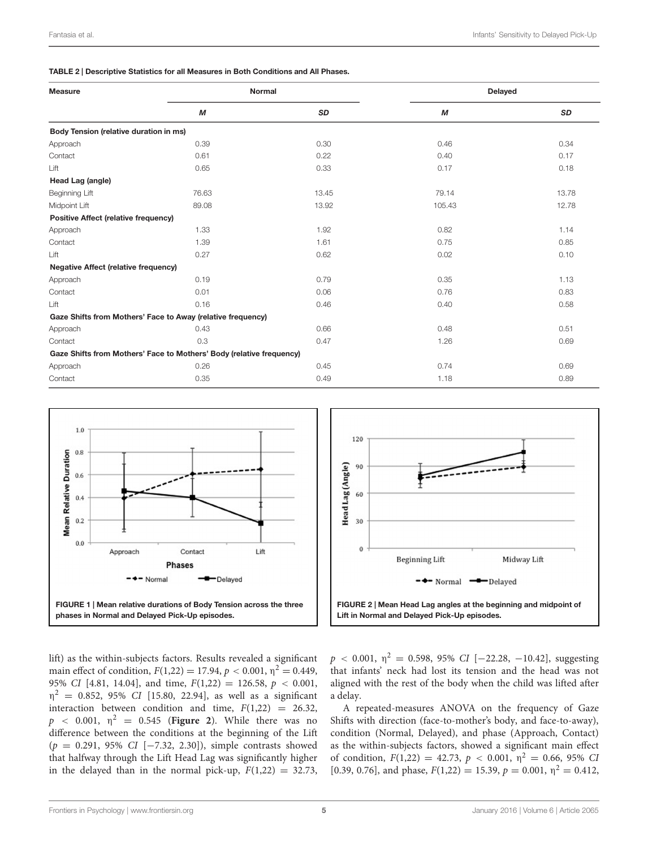<span id="page-4-0"></span>TABLE 2 | Descriptive Statistics for all Measures in Both Conditions and All Phases.

| <b>Measure</b>                              | Normal                                                               |       | <b>Delayed</b> |       |
|---------------------------------------------|----------------------------------------------------------------------|-------|----------------|-------|
|                                             | M                                                                    | SD    | М              | SD    |
| Body Tension (relative duration in ms)      |                                                                      |       |                |       |
| Approach                                    | 0.39                                                                 | 0.30  | 0.46           | 0.34  |
| Contact                                     | 0.61                                                                 | 0.22  | 0.40           | 0.17  |
| Lift                                        | 0.65                                                                 | 0.33  | 0.17           | 0.18  |
| Head Lag (angle)                            |                                                                      |       |                |       |
| Beginning Lift                              | 76.63                                                                | 13.45 | 79.14          | 13.78 |
| Midpoint Lift                               | 89.08                                                                | 13.92 | 105.43         | 12.78 |
| <b>Positive Affect (relative frequency)</b> |                                                                      |       |                |       |
| Approach                                    | 1.33                                                                 | 1.92  | 0.82           | 1.14  |
| Contact                                     | 1.39                                                                 | 1.61  | 0.75           | 0.85  |
| Lift                                        | 0.27                                                                 | 0.62  | 0.02           | 0.10  |
| <b>Negative Affect (relative frequency)</b> |                                                                      |       |                |       |
| Approach                                    | 0.19                                                                 | 0.79  | 0.35           | 1.13  |
| Contact                                     | 0.01                                                                 | 0.06  | 0.76           | 0.83  |
| Lift                                        | 0.16                                                                 | 0.46  | 0.40           | 0.58  |
|                                             | Gaze Shifts from Mothers' Face to Away (relative frequency)          |       |                |       |
| Approach                                    | 0.43                                                                 | 0.66  | 0.48           | 0.51  |
| Contact                                     | 0.3                                                                  | 0.47  | 1.26           | 0.69  |
|                                             | Gaze Shifts from Mothers' Face to Mothers' Body (relative frequency) |       |                |       |
| Approach                                    | 0.26                                                                 | 0.45  | 0.74           | 0.69  |
| Contact                                     | 0.35                                                                 | 0.49  | 1.18           | 0.89  |





<span id="page-4-1"></span>lift) as the within-subjects factors. Results revealed a significant main effect of condition,  $F(1,22) = 17.94$ ,  $p < 0.001$ ,  $p^2 = 0.449$ , 95% *CI* [4.81, 14.04], and time, *F*(1,22) = 126.58, *p <* 0.001,  $\eta^2$  = 0.852, 95% *CI* [15.80, 22.94], as well as a significant interaction between condition and time,  $F(1,22) = 26.32$ ,  $p \sim 0.001$ ,  $\eta^2 = 0.545$  (**[Figure 2](#page-4-2)**). While there was no difference between the conditions at the beginning of the Lift (*p* = 0.291, 95% *CI* [−7.32, 2.30]), simple contrasts showed that halfway through the Lift Head Lag was significantly higher in the delayed than in the normal pick-up,  $F(1,22) = 32.73$ ,

<span id="page-4-2"></span> $p < 0.001$ ,  $\eta^2 = 0.598$ , 95% *CI* [−22.28, −10.42], suggesting that infants' neck had lost its tension and the head was not aligned with the rest of the body when the child was lifted after a delay.

A repeated-measures ANOVA on the frequency of Gaze Shifts with direction (face-to-mother's body, and face-to-away), condition (Normal, Delayed), and phase (Approach, Contact) as the within-subjects factors, showed a significant main effect of condition,  $F(1,22) = 42.73$ ,  $p < 0.001$ ,  $\eta^2 = 0.66$ , 95% *CI* [0.39, 0.76], and phase,  $F(1,22) = 15.39$ ,  $p = 0.001$ ,  $\eta^2 = 0.412$ ,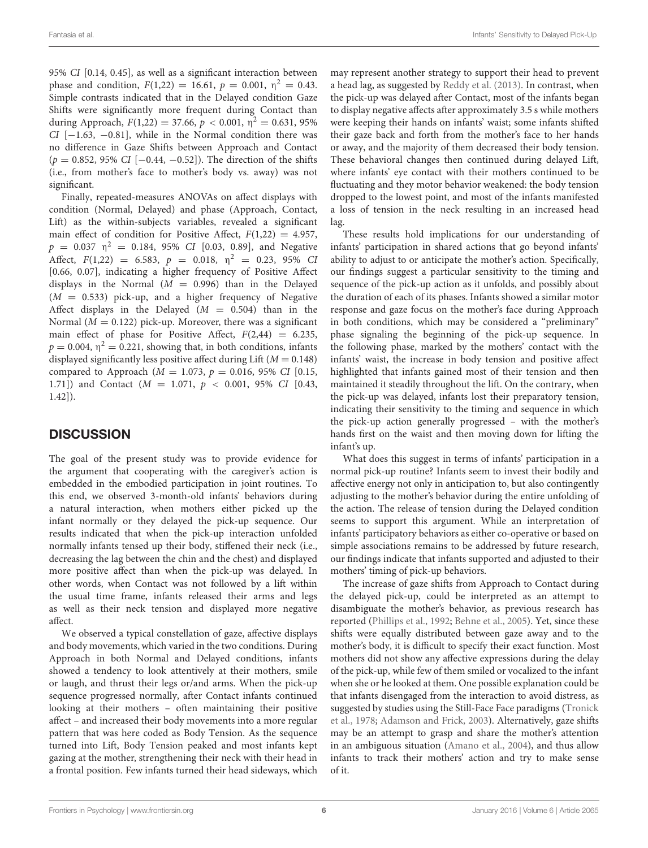95% *CI* [0.14, 0.45], as well as a significant interaction between phase and condition,  $F(1,22) = 16.61$ ,  $p = 0.001$ ,  $\eta^2 = 0.43$ . Simple contrasts indicated that in the Delayed condition Gaze Shifts were significantly more frequent during Contact than during Approach,  $F(1,22) = 37.66$ ,  $p < 0.001$ ,  $\eta^2 = 0.631$ , 95% *CI* [−1.63, −0.81], while in the Normal condition there was no difference in Gaze Shifts between Approach and Contact (*p* = 0.852, 95% *CI* [−0.44, −0.52]). The direction of the shifts (i.e., from mother's face to mother's body vs. away) was not significant.

Finally, repeated-measures ANOVAs on affect displays with condition (Normal, Delayed) and phase (Approach, Contact, Lift) as the within-subjects variables, revealed a significant main effect of condition for Positive Affect,  $F(1,22) = 4.957$ ,  $p = 0.037 \text{ } \eta^2 = 0.184, 95\% \text{ } CI \text{ } [0.03, 0.89], \text{ and Negative}$ Affect,  $F(1,22) = 6.583$ ,  $p = 0.018$ ,  $\eta^2 = 0.23$ , 95% *CI* [0.66, 0.07], indicating a higher frequency of Positive Affect displays in the Normal  $(M = 0.996)$  than in the Delayed  $(M = 0.533)$  pick-up, and a higher frequency of Negative Affect displays in the Delayed  $(M = 0.504)$  than in the Normal  $(M = 0.122)$  pick-up. Moreover, there was a significant main effect of phase for Positive Affect,  $F(2,44) = 6.235$ ,  $p = 0.004$ ,  $\eta^2 = 0.221$ , showing that, in both conditions, infants displayed significantly less positive affect during Lift  $(M = 0.148)$ compared to Approach (*M* = 1.073, *p* = 0.016, 95% *CI* [0.15, 1.71]) and Contact (*M* = 1.071, *p <* 0.001, 95% *CI* [0.43, 1.42]).

# **DISCUSSION**

The goal of the present study was to provide evidence for the argument that cooperating with the caregiver's action is embedded in the embodied participation in joint routines. To this end, we observed 3-month-old infants' behaviors during a natural interaction, when mothers either picked up the infant normally or they delayed the pick-up sequence. Our results indicated that when the pick-up interaction unfolded normally infants tensed up their body, stiffened their neck (i.e., decreasing the lag between the chin and the chest) and displayed more positive affect than when the pick-up was delayed. In other words, when Contact was not followed by a lift within the usual time frame, infants released their arms and legs as well as their neck tension and displayed more negative affect.

We observed a typical constellation of gaze, affective displays and body movements, which varied in the two conditions. During Approach in both Normal and Delayed conditions, infants showed a tendency to look attentively at their mothers, smile or laugh, and thrust their legs or/and arms. When the pick-up sequence progressed normally, after Contact infants continued looking at their mothers – often maintaining their positive affect – and increased their body movements into a more regular pattern that was here coded as Body Tension. As the sequence turned into Lift, Body Tension peaked and most infants kept gazing at the mother, strengthening their neck with their head in a frontal position. Few infants turned their head sideways, which

may represent another strategy to support their head to prevent a head lag, as suggested by [Reddy et al.](#page-7-6) [\(2013](#page-7-6)). In contrast, when the pick-up was delayed after Contact, most of the infants began to display negative affects after approximately 3.5 s while mothers were keeping their hands on infants' waist; some infants shifted their gaze back and forth from the mother's face to her hands or away, and the majority of them decreased their body tension. These behavioral changes then continued during delayed Lift, where infants' eye contact with their mothers continued to be fluctuating and they motor behavior weakened: the body tension dropped to the lowest point, and most of the infants manifested a loss of tension in the neck resulting in an increased head lag.

These results hold implications for our understanding of infants' participation in shared actions that go beyond infants' ability to adjust to or anticipate the mother's action. Specifically, our findings suggest a particular sensitivity to the timing and sequence of the pick-up action as it unfolds, and possibly about the duration of each of its phases. Infants showed a similar motor response and gaze focus on the mother's face during Approach in both conditions, which may be considered a "preliminary" phase signaling the beginning of the pick-up sequence. In the following phase, marked by the mothers' contact with the infants' waist, the increase in body tension and positive affect highlighted that infants gained most of their tension and then maintained it steadily throughout the lift. On the contrary, when the pick-up was delayed, infants lost their preparatory tension, indicating their sensitivity to the timing and sequence in which the pick-up action generally progressed – with the mother's hands first on the waist and then moving down for lifting the infant's up.

What does this suggest in terms of infants' participation in a normal pick-up routine? Infants seem to invest their bodily and affective energy not only in anticipation to, but also contingently adjusting to the mother's behavior during the entire unfolding of the action. The release of tension during the Delayed condition seems to support this argument. While an interpretation of infants' participatory behaviors as either co-operative or based on simple associations remains to be addressed by future research, our findings indicate that infants supported and adjusted to their mothers' timing of pick-up behaviors.

The increase of gaze shifts from Approach to Contact during the delayed pick-up, could be interpreted as an attempt to disambiguate the mother's behavior, as previous research has reported [\(Phillips et al., 1992](#page-7-24); [Behne et al., 2005](#page-6-7)). Yet, since these shifts were equally distributed between gaze away and to the mother's body, it is difficult to specify their exact function. Most mothers did not show any affective expressions during the delay of the pick-up, while few of them smiled or vocalized to the infant when she or he looked at them. One possible explanation could be that infants disengaged from the interaction to avoid distress, as sugg[ested](#page-7-27) [by](#page-7-27) [studies](#page-7-27) [using](#page-7-27) [the](#page-7-27) [Still-Face](#page-7-27) [Face](#page-7-27) [paradigms](#page-7-27) [\(](#page-7-27)Tronick et al., [1978;](#page-7-27) [Adamson and Frick, 2003\)](#page-6-8). Alternatively, gaze shifts may be an attempt to grasp and share the mother's attention in an ambiguous situation [\(Amano et al., 2004\)](#page-6-9), and thus allow infants to track their mothers' action and try to make sense of it.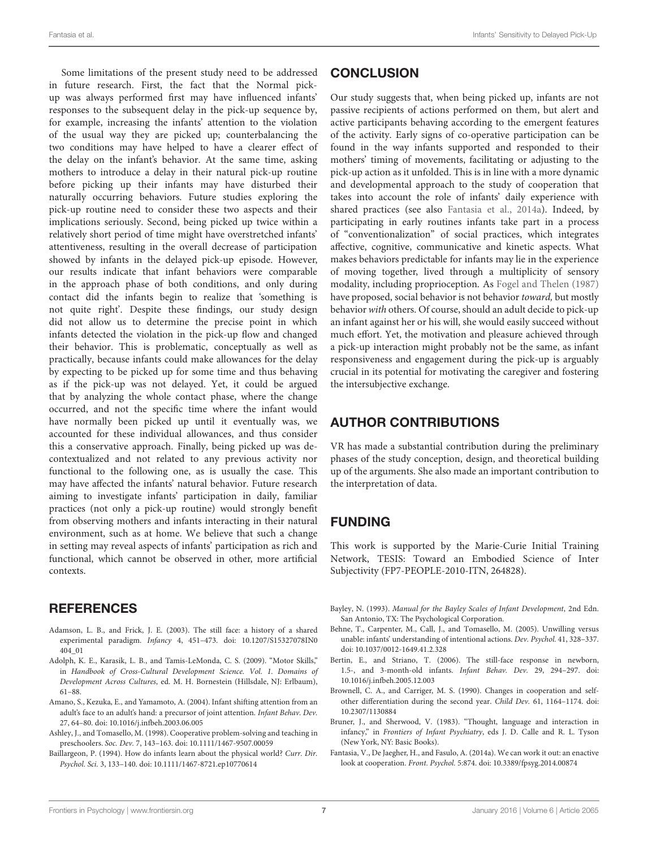Some limitations of the present study need to be addressed in future research. First, the fact that the Normal pickup was always performed first may have influenced infants' responses to the subsequent delay in the pick-up sequence by, for example, increasing the infants' attention to the violation of the usual way they are picked up; counterbalancing the two conditions may have helped to have a clearer effect of the delay on the infant's behavior. At the same time, asking mothers to introduce a delay in their natural pick-up routine before picking up their infants may have disturbed their naturally occurring behaviors. Future studies exploring the pick-up routine need to consider these two aspects and their implications seriously. Second, being picked up twice within a relatively short period of time might have overstretched infants' attentiveness, resulting in the overall decrease of participation showed by infants in the delayed pick-up episode. However, our results indicate that infant behaviors were comparable in the approach phase of both conditions, and only during contact did the infants begin to realize that 'something is not quite right'. Despite these findings, our study design did not allow us to determine the precise point in which infants detected the violation in the pick-up flow and changed their behavior. This is problematic, conceptually as well as practically, because infants could make allowances for the delay by expecting to be picked up for some time and thus behaving as if the pick-up was not delayed. Yet, it could be argued that by analyzing the whole contact phase, where the change occurred, and not the specific time where the infant would have normally been picked up until it eventually was, we accounted for these individual allowances, and thus consider this a conservative approach. Finally, being picked up was decontextualized and not related to any previous activity nor functional to the following one, as is usually the case. This may have affected the infants' natural behavior. Future research aiming to investigate infants' participation in daily, familiar practices (not only a pick-up routine) would strongly benefit from observing mothers and infants interacting in their natural environment, such as at home. We believe that such a change in setting may reveal aspects of infants' participation as rich and functional, which cannot be observed in other, more artificial contexts.

## **REFERENCES**

- <span id="page-6-8"></span>Adamson, L. B., and Frick, J. E. (2003). The still face: a history of a shared experimental paradigm. *Infancy* 4, 451–473. doi: 10.1207/S15327078IN0 404\_01
- <span id="page-6-5"></span>Adolph, K. E., Karasik, L. B., and Tamis-LeMonda, C. S. (2009). "Motor Skills," in *Handbook of Cross-Cultural Development Science. Vol. 1. Domains of Development Across Cultures*, ed. M. H. Bornestein (Hillsdale, NJ: Erlbaum), 61–88.
- <span id="page-6-9"></span>Amano, S., Kezuka, E., and Yamamoto, A. (2004). Infant shifting attention from an adult's face to an adult's hand: a precursor of joint attention. *Infant Behav. Dev.* 27, 64–80. doi: 10.1016/j.infbeh.2003.06.005
- <span id="page-6-2"></span>Ashley, J., and Tomasello, M. (1998). Cooperative problem-solving and teaching in preschoolers. *Soc. Dev.* 7, 143–163. doi: 10.1111/1467-9507.00059
- <span id="page-6-3"></span>Baillargeon, P. (1994). How do infants learn about the physical world? *Curr. Dir. Psychol. Sci.* 3, 133–140. doi: 10.1111/1467-8721.ep10770614

# **CONCLUSION**

Our study suggests that, when being picked up, infants are not passive recipients of actions performed on them, but alert and active participants behaving according to the emergent features of the activity. Early signs of co-operative participation can be found in the way infants supported and responded to their mothers' timing of movements, facilitating or adjusting to the pick-up action as it unfolded. This is in line with a more dynamic and developmental approach to the study of cooperation that takes into account the role of infants' daily experience with shared practices (see also [Fantasia et al.](#page-6-10), [2014a\)](#page-6-10). Indeed, by participating in early routines infants take part in a process of "conventionalization" of social practices, which integrates affective, cognitive, communicative and kinetic aspects. What makes behaviors predictable for infants may lie in the experience of moving together, lived through a multiplicity of sensory modality, including proprioception. As [Fogel and Thelen](#page-7-28) [\(1987](#page-7-28)) have proposed, social behavior is not behavior *toward,* but mostly behavior*with* others. Of course, should an adult decide to pick-up an infant against her or his will, she would easily succeed without much effort. Yet, the motivation and pleasure achieved through a pick-up interaction might probably not be the same, as infant responsiveness and engagement during the pick-up is arguably crucial in its potential for motivating the caregiver and fostering the intersubjective exchange.

# AUTHOR CONTRIBUTIONS

VR has made a substantial contribution during the preliminary phases of the study conception, design, and theoretical building up of the arguments. She also made an important contribution to the interpretation of data.

# FUNDING

This work is supported by the Marie-Curie Initial Training Network, TESIS: Toward an Embodied Science of Inter Subjectivity (FP7-PEOPLE-2010-ITN, 264828).

- <span id="page-6-6"></span>Bayley, N. (1993). *Manual for the Bayley Scales of Infant Development*, 2nd Edn. San Antonio, TX: The Psychological Corporation.
- <span id="page-6-7"></span>Behne, T., Carpenter, M., Call, J., and Tomasello, M. (2005). Unwilling versus unable: infants' understanding of intentional actions. *Dev. Psychol.* 41, 328–337. doi: 10.1037/0012-1649.41.2.328
- <span id="page-6-4"></span>Bertin, E., and Striano, T. (2006). The still-face response in newborn, 1.5-, and 3-month-old infants. *Infant Behav. Dev.* 29, 294–297. doi: 10.1016/j.infbeh.2005.12.003
- <span id="page-6-1"></span>Brownell, C. A., and Carriger, M. S. (1990). Changes in cooperation and selfother differentiation during the second year. *Child Dev.* 61, 1164–1174. doi: 10.2307/1130884
- <span id="page-6-0"></span>Bruner, J., and Sherwood, V. (1983). "Thought, language and interaction in infancy," in *Frontiers of Infant Psychiatry*, eds J. D. Calle and R. L. Tyson (New York, NY: Basic Books).
- <span id="page-6-10"></span>Fantasia, V., De Jaegher, H., and Fasulo, A. (2014a). We can work it out: an enactive look at cooperation. *Front. Psychol.* 5:874. doi: 10.3389/fpsyg.2014.00874